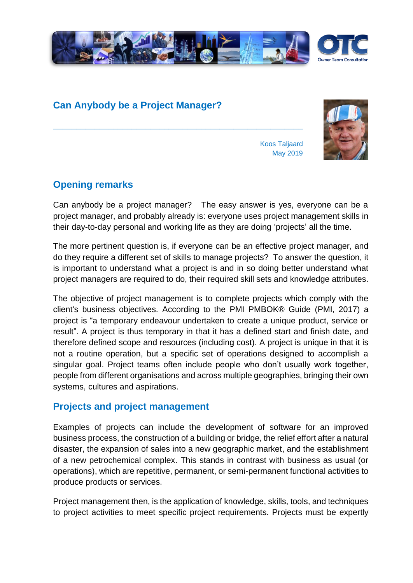

# **Can Anybody be a Project Manager?**

**\_\_\_\_\_\_\_\_\_\_\_\_\_\_\_\_\_\_\_\_\_\_\_\_\_\_\_\_\_\_\_\_\_\_\_\_\_\_\_\_\_\_\_\_\_\_\_\_\_\_\_\_\_\_**

Koos Taljaard May 2019



**Opening remarks**

Can anybody be a project manager? The easy answer is yes, everyone can be a project manager, and probably already is: everyone uses project management skills in their day-to-day personal and working life as they are doing 'projects' all the time.

The more pertinent question is, if everyone can be an effective project manager, and do they require a different set of skills to manage projects? To answer the question, it is important to understand what a project is and in so doing better understand what project managers are required to do, their required skill sets and knowledge attributes.

The objective of project management is to complete projects which comply with the client's business objectives. According to the PMI PMBOK® Guide (PMI, 2017) a project is "a temporary endeavour undertaken to create a unique product, service or result". A project is thus temporary in that it has a defined start and finish date, and therefore defined scope and resources (including cost). A project is unique in that it is not a routine operation, but a specific set of operations designed to accomplish a singular goal. Project teams often include people who don't usually work together, people from different organisations and across multiple geographies, bringing their own systems, cultures and aspirations.

### **Projects and project management**

Examples of projects can include the development of software for an improved business process, the construction of a building or bridge, the relief effort after a natural disaster, the expansion of sales into a new geographic market, and the establishment of a new petrochemical complex. This stands in contrast with business as usual (or operations), which are repetitive, permanent, or semi-permanent functional activities to produce products or services.

Project management then, is the application of knowledge, skills, tools, and techniques to project activities to meet specific project requirements. Projects must be expertly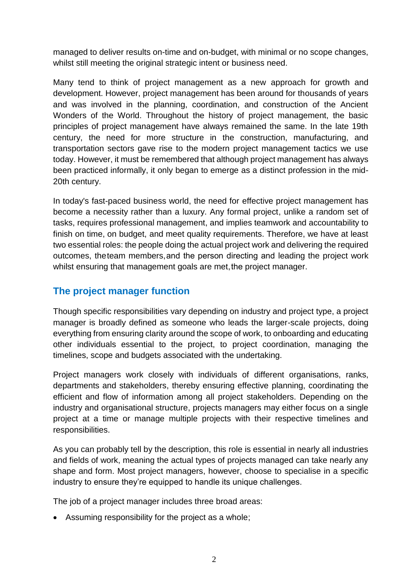managed to deliver results on-time and on-budget, with minimal or no scope changes, whilst still meeting the original strategic intent or business need.

Many tend to think of project management as a new approach for growth and development. However, project management has been around for thousands of years and was involved in the planning, coordination, and construction of the Ancient Wonders of the World. Throughout the history of project management, the basic principles of project management have always remained the same. In the late 19th century, the need for more structure in the construction, manufacturing, and transportation sectors gave rise to the modern project management tactics we use today. However, it must be remembered that although project management has always been practiced informally, it only began to emerge as a distinct profession in the mid-20th century.

In today's fast-paced business world, the need for effective project management has become a necessity rather than a luxury. Any formal project, unlike a random set of tasks, requires professional management, and implies teamwork and accountability to finish on time, on budget, and meet quality requirements. Therefore, we have at least two essential roles: the people doing the actual project work and delivering the required outcomes, theteam members, and the person directing and leading the project work whilst ensuring that management goals are met, the project manager.

## **The project manager function**

Though specific responsibilities vary depending on industry and project type, a project manager is broadly defined as someone who leads the larger-scale projects, doing everything from ensuring clarity around the scope of work, to onboarding and educating other individuals essential to the project, to project coordination, managing the timelines, scope and budgets associated with the undertaking.

Project managers work closely with individuals of different organisations, ranks, departments and stakeholders, thereby ensuring effective planning, coordinating the efficient and flow of information among all project stakeholders. Depending on the industry and organisational structure, projects managers may either focus on a single project at a time or manage multiple projects with their respective timelines and responsibilities.

As you can probably tell by the description, this role is essential in nearly all industries and fields of work, meaning the actual types of projects managed can take nearly any shape and form. Most project managers, however, choose to specialise in a specific industry to ensure they're equipped to handle its unique challenges.

The job of a project manager includes three broad areas:

• Assuming responsibility for the project as a whole;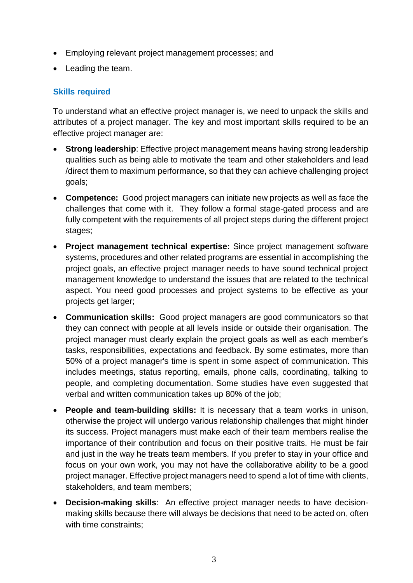- Employing relevant project management processes; and
- Leading the team.

#### **Skills required**

To understand what an effective project manager is, we need to unpack the skills and attributes of a project manager. The key and most important skills required to be an effective project manager are:

- **Strong leadership:** Effective project management means having strong leadership qualities such as being able to motivate the team and other stakeholders and lead /direct them to maximum performance, so that they can achieve challenging project goals;
- **Competence:** Good project managers can initiate new projects as well as face the challenges that come with it. They follow a formal stage-gated process and are fully competent with the requirements of all project steps during the different project stages:
- **Project management technical expertise:** Since project management software systems, procedures and other related programs are essential in accomplishing the project goals, an effective project manager needs to have sound technical project management knowledge to understand the issues that are related to the technical aspect. You need good processes and project systems to be effective as your projects get larger;
- **Communication skills:** Good project managers are good communicators so that they can connect with people at all levels inside or outside their organisation. The project manager must clearly explain the project goals as well as each member's tasks, responsibilities, expectations and feedback. By some estimates, more than 50% of a project manager's time is spent in some aspect of communication. This includes meetings, status reporting, emails, phone calls, coordinating, talking to people, and completing documentation. Some studies have even suggested that verbal and written communication takes up 80% of the job;
- **People and team-building skills:** It is necessary that a team works in unison, otherwise the project will undergo various relationship challenges that might hinder its success. Project managers must make each of their team members realise the importance of their contribution and focus on their positive traits. He must be fair and just in the way he treats team members. If you prefer to stay in your office and focus on your own work, you may not have the collaborative ability to be a good project manager. Effective project managers need to spend a lot of time with clients, stakeholders, and team members;
- **Decision-making skills**: An effective project manager needs to have decisionmaking skills because there will always be decisions that need to be acted on, often with time constraints;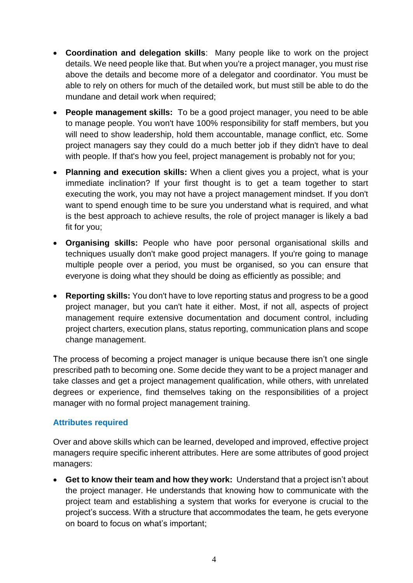- **Coordination and delegation skills**: Many people like to work on the project details. We need people like that. But when you're a project manager, you must rise above the details and become more of a delegator and coordinator. You must be able to rely on others for much of the detailed work, but must still be able to do the mundane and detail work when required;
- **People management skills:** To be a good project manager, you need to be able to manage people. You won't have 100% responsibility for staff members, but you will need to show leadership, hold them accountable, manage conflict, etc. Some project managers say they could do a much better job if they didn't have to deal with people. If that's how you feel, project management is probably not for you;
- **Planning and execution skills:** When a client gives you a project, what is your immediate inclination? If your first thought is to get a team together to start executing the work, you may not have a project management mindset. If you don't want to spend enough time to be sure you understand what is required, and what is the best approach to achieve results, the role of project manager is likely a bad fit for you;
- **Organising skills:** People who have poor personal organisational skills and techniques usually don't make good project managers. If you're going to manage multiple people over a period, you must be organised, so you can ensure that everyone is doing what they should be doing as efficiently as possible; and
- **Reporting skills:** You don't have to love reporting status and progress to be a good project manager, but you can't hate it either. Most, if not all, aspects of project management require extensive documentation and document control, including project charters, execution plans, status reporting, communication plans and scope change management.

The process of becoming a project manager is unique because there isn't one single prescribed path to becoming one. Some decide they want to be a project manager and take classes and get a project management qualification, while others, with unrelated degrees or experience, find themselves taking on the responsibilities of a project manager with no formal project management training.

#### **Attributes required**

Over and above skills which can be learned, developed and improved, effective project managers require specific inherent attributes. Here are some attributes of good project managers:

• **Get to know their team and how they work:** Understand that a project isn't about the project manager. He understands that knowing how to communicate with the project team and establishing a system that works for everyone is crucial to the project's success. With a structure that accommodates the team, he gets everyone on board to focus on what's important;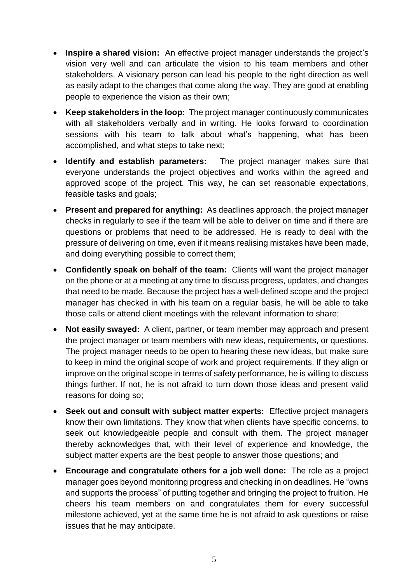- **Inspire a shared vision:** An effective project manager understands the project's vision very well and can articulate the vision to his team members and other stakeholders. A visionary person can lead his people to the right direction as well as easily adapt to the changes that come along the way. They are good at enabling people to experience the vision as their own;
- **Keep stakeholders in the loop:**The project manager continuously communicates with all stakeholders verbally and in writing. He looks forward to coordination sessions with his team to talk about what's happening, what has been accomplished, and what steps to take next;
- **Identify and establish parameters:** The project manager makes sure that everyone understands the project objectives and works within the agreed and approved scope of the project. This way, he can set reasonable expectations, feasible tasks and goals;
- **Present and prepared for anything:** As deadlines approach, the project manager checks in regularly to see if the team will be able to deliver on time and if there are questions or problems that need to be addressed. He is ready to deal with the pressure of delivering on time, even if it means realising mistakes have been made, and doing everything possible to correct them;
- **Confidently speak on behalf of the team:** Clients will want the project manager on the phone or at a meeting at any time to discuss progress, updates, and changes that need to be made. Because the project has a well-defined scope and the project manager has checked in with his team on a regular basis, he will be able to take those calls or attend client meetings with the relevant information to share;
- **Not easily swayed:**A client, partner, or team member may approach and present the project manager or team members with new ideas, requirements, or questions. The project manager needs to be open to hearing these new ideas, but make sure to keep in mind the original scope of work and project requirements. If they align or improve on the original scope in terms of safety performance, he is willing to discuss things further. If not, he is not afraid to turn down those ideas and present valid reasons for doing so;
- **Seek out and consult with subject matter experts:**Effective project managers know their own limitations. They know that when clients have specific concerns, to seek out knowledgeable people and consult with them. The project manager thereby acknowledges that, with their level of experience and knowledge, the subject matter experts are the best people to answer those questions; and
- **Encourage and congratulate others for a job well done:**The role as a project manager goes beyond monitoring progress and checking in on deadlines. He "owns and supports the process" of putting together and bringing the project to fruition. He cheers his team members on and congratulates them for every successful milestone achieved, yet at the same time he is not afraid to ask questions or raise issues that he may anticipate.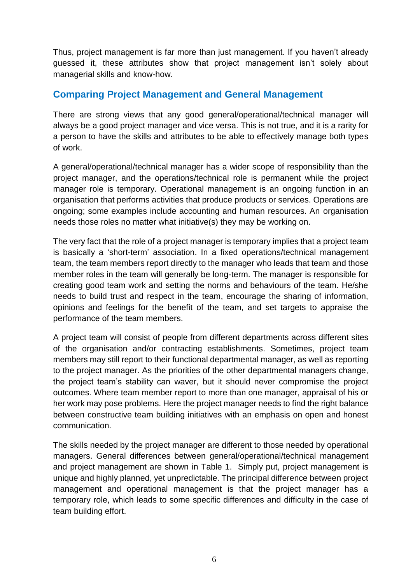Thus, project management is far more than just management. If you haven't already guessed it, these attributes show that project management isn't solely about managerial skills and know-how.

## **Comparing Project Management and General Management**

There are strong views that any good general/operational/technical manager will always be a good project manager and vice versa. This is not true, and it is a rarity for a person to have the skills and attributes to be able to effectively manage both types of work.

A general/operational/technical manager has a wider scope of responsibility than the project manager, and the operations/technical role is permanent while the project manager role is temporary. Operational management is an ongoing function in an organisation that performs activities that produce products or services. Operations are ongoing; some examples include accounting and human resources. An organisation needs those roles no matter what initiative(s) they may be working on.

The very fact that the role of a project manager is temporary implies that a project team is basically a 'short-term' association. In a fixed operations/technical management team, the team members report directly to the manager who leads that team and those member roles in the team will generally be long-term. The manager is responsible for creating good team work and setting the norms and behaviours of the team. He/she needs to build trust and respect in the team, encourage the sharing of information, opinions and feelings for the benefit of the team, and set targets to appraise the performance of the team members.

A project team will consist of people from different departments across different sites of the organisation and/or contracting establishments. Sometimes, project team members may still report to their functional departmental manager, as well as reporting to the project manager. As the priorities of the other departmental managers change, the project team's stability can waver, but it should never compromise the project outcomes. Where team member report to more than one manager, appraisal of his or her work may pose problems. Here the project manager needs to find the right balance between constructive team building initiatives with an emphasis on open and honest communication.

The skills needed by the project manager are different to those needed by operational managers. General differences between general/operational/technical management and project management are shown in Table 1. Simply put, project management is unique and highly planned, yet unpredictable. The principal difference between project management and operational management is that the project manager has a temporary role, which leads to some specific differences and difficulty in the case of team building effort.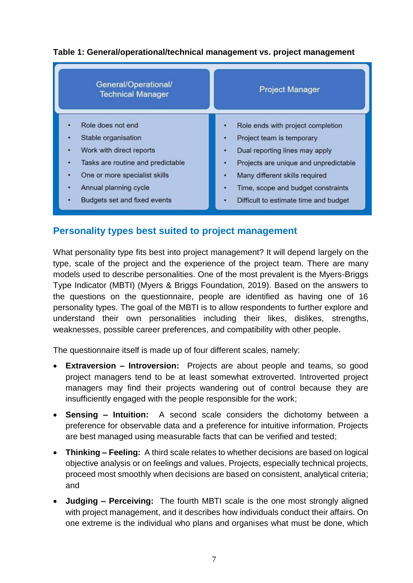

### **Table 1: General/operational/technical management vs. project management**

## **Personality types best suited to project management**

What personality type fits best into project management? It will depend largely on the type, scale of the project and the experience of the project team. There are many models used to describe personalities. One of the most prevalent is the Myers-Briggs Type Indicator (MBTI) (Myers & Briggs Foundation, 2019). Based on the answers to the questions on the questionnaire, people are identified as having one of 16 personality types. The goal of the MBTI is to allow respondents to further explore and understand their own personalities including their likes, dislikes, strengths, weaknesses, possible career preferences, and compatibility with other people.

The questionnaire itself is made up of four different scales, namely:

- **Extraversion – Introversion:** Projects are about people and teams, so good project managers tend to be at least somewhat extroverted. Introverted project managers may find their projects wandering out of control because they are insufficiently engaged with the people responsible for the work;
- **Sensing – Intuition:** A second scale considers the dichotomy between a preference for observable data and a preference for intuitive information. Projects are best managed using measurable facts that can be verified and tested;
- **Thinking – Feeling:** A third scale relates to whether decisions are based on logical objective analysis or on feelings and values. Projects, especially technical projects, proceed most smoothly when decisions are based on consistent, analytical criteria; and
- **Judging – Perceiving:** The fourth MBTI scale is the one most strongly aligned with project management, and it describes how individuals conduct their affairs. On one extreme is the individual who plans and organises what must be done, which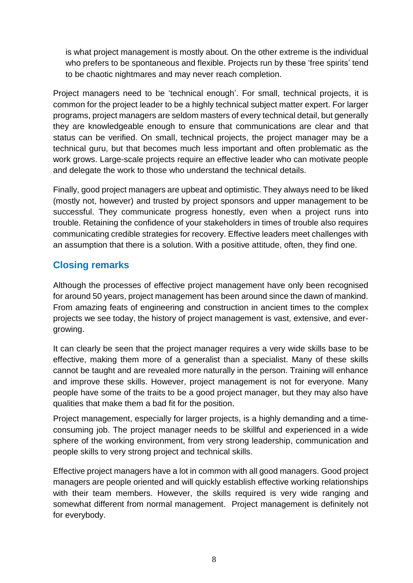is what project management is mostly about. On the other extreme is the individual who prefers to be spontaneous and flexible. Projects run by these 'free spirits' tend to be chaotic nightmares and may never reach completion.

Project managers need to be 'technical enough'. For small, technical projects, it is common for the project leader to be a highly technical subject matter expert. For larger programs, project managers are seldom masters of every technical detail, but generally they are knowledgeable enough to ensure that communications are clear and that status can be verified. On small, technical projects, the project manager may be a technical guru, but that becomes much less important and often problematic as the work grows. Large-scale projects require an effective leader who can motivate people and delegate the work to those who understand the technical details.

Finally, good project managers are upbeat and optimistic. They always need to be liked (mostly not, however) and trusted by project sponsors and upper management to be successful. They communicate progress honestly, even when a project runs into trouble. Retaining the confidence of your stakeholders in times of trouble also requires communicating credible strategies for recovery. Effective leaders meet challenges with an assumption that there is a solution. With a positive attitude, often, they find one.

# **Closing remarks**

Although the processes of effective project management have only been recognised for around 50 years, project management has been around since the dawn of mankind. From amazing feats of engineering and construction in ancient times to the complex projects we see today, the history of project management is vast, extensive, and evergrowing.

It can clearly be seen that the project manager requires a very wide skills base to be effective, making them more of a generalist than a specialist. Many of these skills cannot be taught and are revealed more naturally in the person. Training will enhance and improve these skills. However, project management is not for everyone. Many people have some of the traits to be a good project manager, but they may also have qualities that make them a bad fit for the position.

Project management, especially for larger projects, is a highly demanding and a timeconsuming job. The project manager needs to be skillful and experienced in a wide sphere of the working environment, from very strong leadership, communication and people skills to very strong project and technical skills.

Effective project managers have a lot in common with all good managers. Good project managers are people oriented and will quickly establish effective working relationships with their team members. However, the skills required is very wide ranging and somewhat different from normal management. Project management is definitely not for everybody.